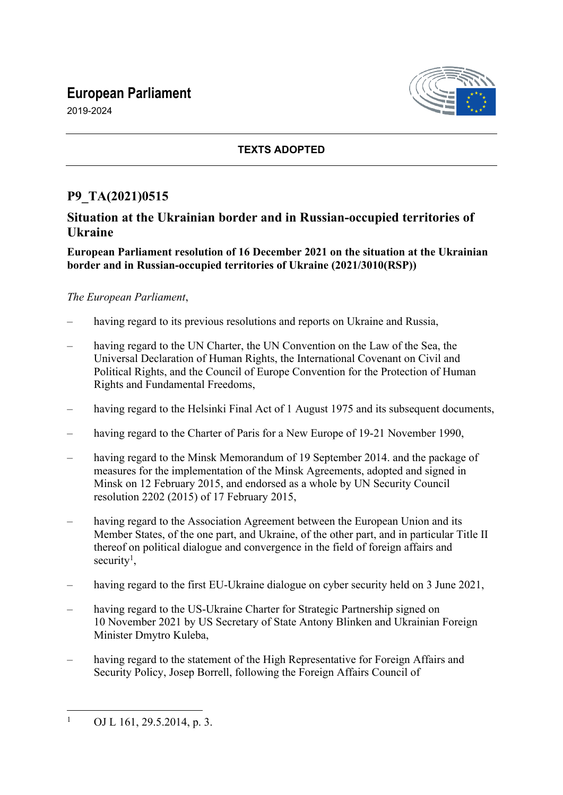# **European Parliament**





### **TEXTS ADOPTED**

## **P9\_TA(2021)0515**

## **Situation at the Ukrainian border and in Russian-occupied territories of Ukraine**

#### **European Parliament resolution of 16 December 2021 on the situation at the Ukrainian border and in Russian-occupied territories of Ukraine (2021/3010(RSP))**

#### *The European Parliament*,

- having regard to its previous resolutions and reports on Ukraine and Russia,
- having regard to the UN Charter, the UN Convention on the Law of the Sea, the Universal Declaration of Human Rights, the International Covenant on Civil and Political Rights, and the Council of Europe Convention for the Protection of Human Rights and Fundamental Freedoms,
- having regard to the Helsinki Final Act of 1 August 1975 and its subsequent documents,
- having regard to the Charter of Paris for a New Europe of 19-21 November 1990,
- having regard to the Minsk Memorandum of 19 September 2014, and the package of measures for the implementation of the Minsk Agreements, adopted and signed in Minsk on 12 February 2015, and endorsed as a whole by UN Security Council resolution 2202 (2015) of 17 February 2015,
- having regard to the Association Agreement between the European Union and its Member States, of the one part, and Ukraine, of the other part, and in particular Title II thereof on political dialogue and convergence in the field of foreign affairs and security<sup>1</sup>,
- having regard to the first EU-Ukraine dialogue on cyber security held on 3 June 2021,
- having regard to the US-Ukraine Charter for Strategic Partnership signed on 10 November 2021 by US Secretary of State Antony Blinken and Ukrainian Foreign Minister Dmytro Kuleba,
- having regard to the statement of the High Representative for Foreign Affairs and Security Policy, Josep Borrell, following the Foreign Affairs Council of

<sup>1</sup> OJ L 161, 29.5.2014, p. 3.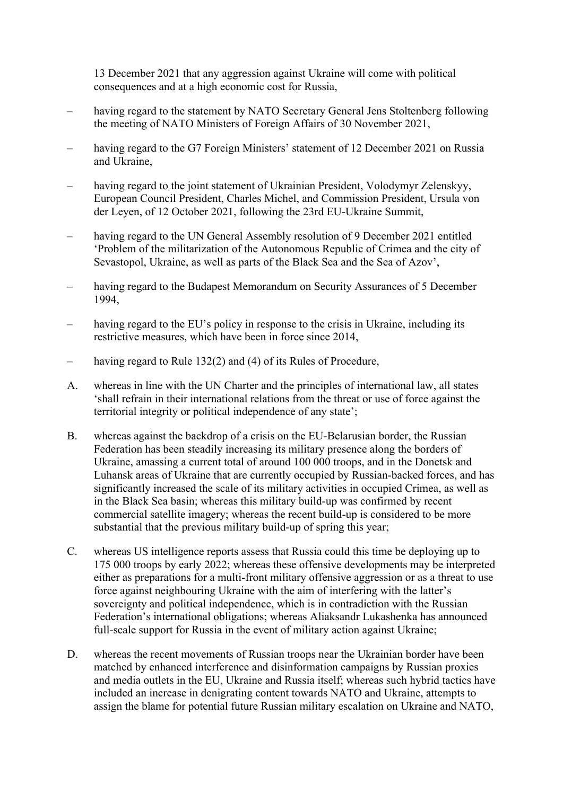13 December 2021 that any aggression against Ukraine will come with political consequences and at a high economic cost for Russia,

- having regard to the statement by NATO Secretary General Jens Stoltenberg following the meeting of NATO Ministers of Foreign Affairs of 30 November 2021,
- having regard to the G7 Foreign Ministers' statement of 12 December 2021 on Russia and Ukraine,
- having regard to the joint statement of Ukrainian President, Volodymyr Zelenskyy, European Council President, Charles Michel, and Commission President, Ursula von der Leyen, of 12 October 2021, following the 23rd EU-Ukraine Summit,
- having regard to the UN General Assembly resolution of 9 December 2021 entitled 'Problem of the militarization of the Autonomous Republic of Crimea and the city of Sevastopol, Ukraine, as well as parts of the Black Sea and the Sea of Azov',
- having regard to the Budapest Memorandum on Security Assurances of 5 December 1994,
- having regard to the EU's policy in response to the crisis in Ukraine, including its restrictive measures, which have been in force since 2014,
- having regard to Rule 132(2) and (4) of its Rules of Procedure,
- A. whereas in line with the UN Charter and the principles of international law, all states 'shall refrain in their international relations from the threat or use of force against the territorial integrity or political independence of any state';
- B. whereas against the backdrop of a crisis on the EU-Belarusian border, the Russian Federation has been steadily increasing its military presence along the borders of Ukraine, amassing a current total of around 100 000 troops, and in the Donetsk and Luhansk areas of Ukraine that are currently occupied by Russian-backed forces, and has significantly increased the scale of its military activities in occupied Crimea, as well as in the Black Sea basin; whereas this military build-up was confirmed by recent commercial satellite imagery; whereas the recent build-up is considered to be more substantial that the previous military build-up of spring this year;
- C. whereas US intelligence reports assess that Russia could this time be deploying up to 175 000 troops by early 2022; whereas these offensive developments may be interpreted either as preparations for a multi-front military offensive aggression or as a threat to use force against neighbouring Ukraine with the aim of interfering with the latter's sovereignty and political independence, which is in contradiction with the Russian Federation's international obligations; whereas Aliaksandr Lukashenka has announced full-scale support for Russia in the event of military action against Ukraine;
- D. whereas the recent movements of Russian troops near the Ukrainian border have been matched by enhanced interference and disinformation campaigns by Russian proxies and media outlets in the EU, Ukraine and Russia itself; whereas such hybrid tactics have included an increase in denigrating content towards NATO and Ukraine, attempts to assign the blame for potential future Russian military escalation on Ukraine and NATO,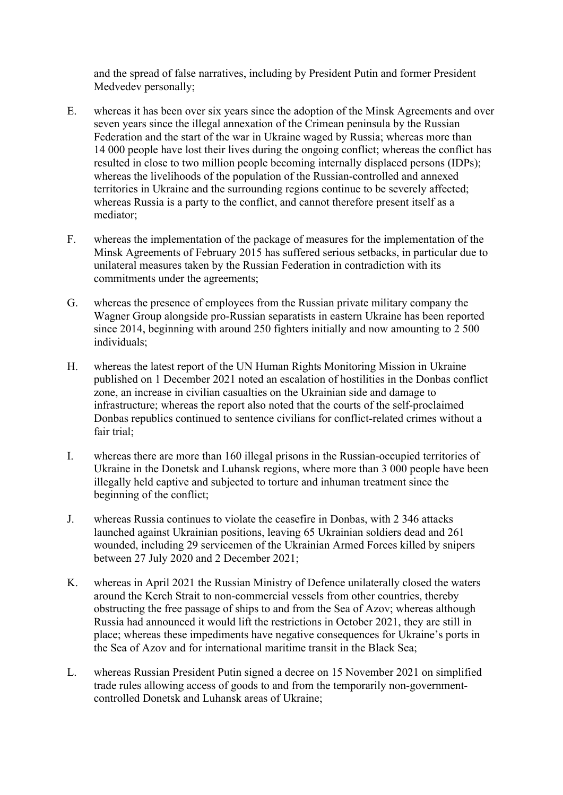and the spread of false narratives, including by President Putin and former President Medvedev personally;

- E. whereas it has been over six years since the adoption of the Minsk Agreements and over seven years since the illegal annexation of the Crimean peninsula by the Russian Federation and the start of the war in Ukraine waged by Russia; whereas more than 14 000 people have lost their lives during the ongoing conflict; whereas the conflict has resulted in close to two million people becoming internally displaced persons (IDPs); whereas the livelihoods of the population of the Russian-controlled and annexed territories in Ukraine and the surrounding regions continue to be severely affected; whereas Russia is a party to the conflict, and cannot therefore present itself as a mediator;
- F. whereas the implementation of the package of measures for the implementation of the Minsk Agreements of February 2015 has suffered serious setbacks, in particular due to unilateral measures taken by the Russian Federation in contradiction with its commitments under the agreements;
- G. whereas the presence of employees from the Russian private military company the Wagner Group alongside pro-Russian separatists in eastern Ukraine has been reported since 2014, beginning with around 250 fighters initially and now amounting to 2 500 individuals;
- H. whereas the latest report of the UN Human Rights Monitoring Mission in Ukraine published on 1 December 2021 noted an escalation of hostilities in the Donbas conflict zone, an increase in civilian casualties on the Ukrainian side and damage to infrastructure; whereas the report also noted that the courts of the self-proclaimed Donbas republics continued to sentence civilians for conflict-related crimes without a fair trial;
- I. whereas there are more than 160 illegal prisons in the Russian-occupied territories of Ukraine in the Donetsk and Luhansk regions, where more than 3 000 people have been illegally held captive and subjected to torture and inhuman treatment since the beginning of the conflict;
- J. whereas Russia continues to violate the ceasefire in Donbas, with 2 346 attacks launched against Ukrainian positions, leaving 65 Ukrainian soldiers dead and 261 wounded, including 29 servicemen of the Ukrainian Armed Forces killed by snipers between 27 July 2020 and 2 December 2021;
- K. whereas in April 2021 the Russian Ministry of Defence unilaterally closed the waters around the Kerch Strait to non-commercial vessels from other countries, thereby obstructing the free passage of ships to and from the Sea of Azov; whereas although Russia had announced it would lift the restrictions in October 2021, they are still in place; whereas these impediments have negative consequences for Ukraine's ports in the Sea of Azov and for international maritime transit in the Black Sea;
- L. whereas Russian President Putin signed a decree on 15 November 2021 on simplified trade rules allowing access of goods to and from the temporarily non-governmentcontrolled Donetsk and Luhansk areas of Ukraine;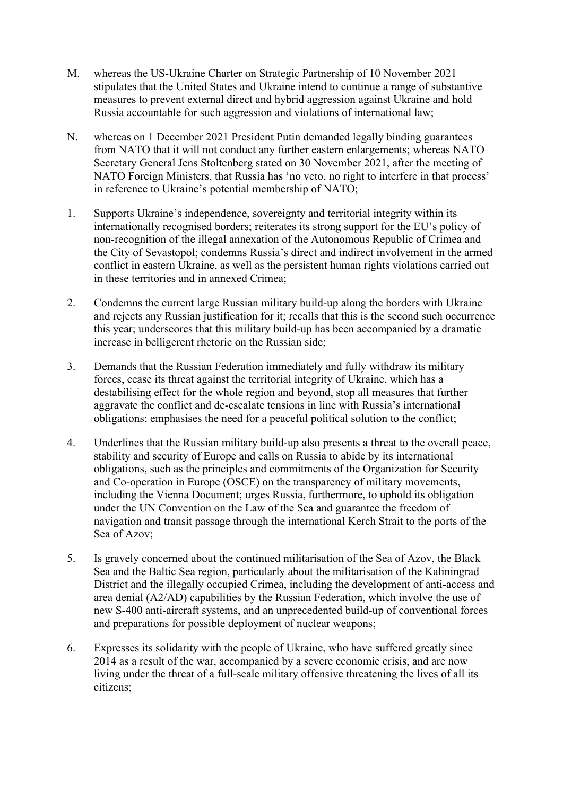- M. whereas the US-Ukraine Charter on Strategic Partnership of 10 November 2021 stipulates that the United States and Ukraine intend to continue a range of substantive measures to prevent external direct and hybrid aggression against Ukraine and hold Russia accountable for such aggression and violations of international law;
- N. whereas on 1 December 2021 President Putin demanded legally binding guarantees from NATO that it will not conduct any further eastern enlargements; whereas NATO Secretary General Jens Stoltenberg stated on 30 November 2021, after the meeting of NATO Foreign Ministers, that Russia has 'no veto, no right to interfere in that process' in reference to Ukraine's potential membership of NATO;
- 1. Supports Ukraine's independence, sovereignty and territorial integrity within its internationally recognised borders; reiterates its strong support for the EU's policy of non-recognition of the illegal annexation of the Autonomous Republic of Crimea and the City of Sevastopol; condemns Russia's direct and indirect involvement in the armed conflict in eastern Ukraine, as well as the persistent human rights violations carried out in these territories and in annexed Crimea;
- 2. Condemns the current large Russian military build-up along the borders with Ukraine and rejects any Russian justification for it; recalls that this is the second such occurrence this year; underscores that this military build-up has been accompanied by a dramatic increase in belligerent rhetoric on the Russian side;
- 3. Demands that the Russian Federation immediately and fully withdraw its military forces, cease its threat against the territorial integrity of Ukraine, which has a destabilising effect for the whole region and beyond, stop all measures that further aggravate the conflict and de-escalate tensions in line with Russia's international obligations; emphasises the need for a peaceful political solution to the conflict;
- 4. Underlines that the Russian military build-up also presents a threat to the overall peace, stability and security of Europe and calls on Russia to abide by its international obligations, such as the principles and commitments of the Organization for Security and Co-operation in Europe (OSCE) on the transparency of military movements, including the Vienna Document; urges Russia, furthermore, to uphold its obligation under the UN Convention on the Law of the Sea and guarantee the freedom of navigation and transit passage through the international Kerch Strait to the ports of the Sea of Azov;
- 5. Is gravely concerned about the continued militarisation of the Sea of Azov, the Black Sea and the Baltic Sea region, particularly about the militarisation of the Kaliningrad District and the illegally occupied Crimea, including the development of anti-access and area denial (A2/AD) capabilities by the Russian Federation, which involve the use of new S-400 anti-aircraft systems, and an unprecedented build-up of conventional forces and preparations for possible deployment of nuclear weapons;
- 6. Expresses its solidarity with the people of Ukraine, who have suffered greatly since 2014 as a result of the war, accompanied by a severe economic crisis, and are now living under the threat of a full-scale military offensive threatening the lives of all its citizens;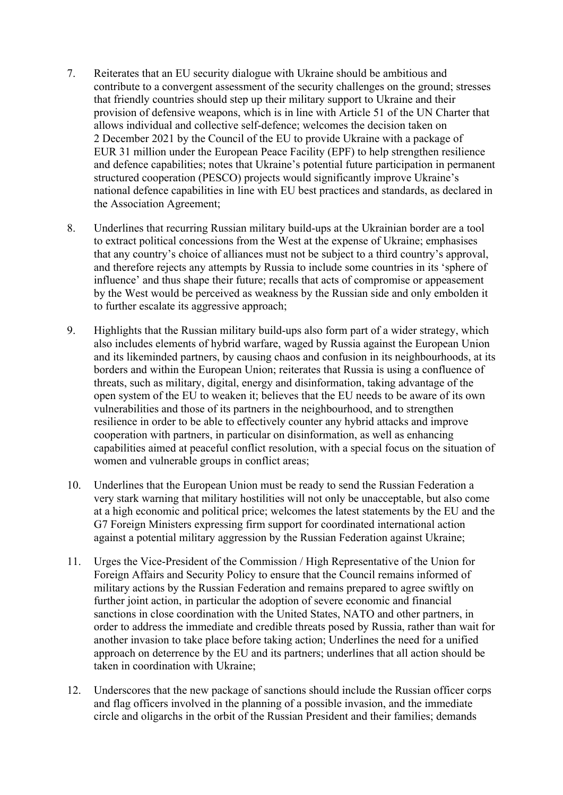- 7. Reiterates that an EU security dialogue with Ukraine should be ambitious and contribute to a convergent assessment of the security challenges on the ground; stresses that friendly countries should step up their military support to Ukraine and their provision of defensive weapons, which is in line with Article 51 of the UN Charter that allows individual and collective self-defence; welcomes the decision taken on 2 December 2021 by the Council of the EU to provide Ukraine with a package of EUR 31 million under the European Peace Facility (EPF) to help strengthen resilience and defence capabilities; notes that Ukraine's potential future participation in permanent structured cooperation (PESCO) projects would significantly improve Ukraine's national defence capabilities in line with EU best practices and standards, as declared in the Association Agreement;
- 8. Underlines that recurring Russian military build-ups at the Ukrainian border are a tool to extract political concessions from the West at the expense of Ukraine; emphasises that any country's choice of alliances must not be subject to a third country's approval, and therefore rejects any attempts by Russia to include some countries in its 'sphere of influence' and thus shape their future; recalls that acts of compromise or appeasement by the West would be perceived as weakness by the Russian side and only embolden it to further escalate its aggressive approach;
- 9. Highlights that the Russian military build-ups also form part of a wider strategy, which also includes elements of hybrid warfare, waged by Russia against the European Union and its likeminded partners, by causing chaos and confusion in its neighbourhoods, at its borders and within the European Union; reiterates that Russia is using a confluence of threats, such as military, digital, energy and disinformation, taking advantage of the open system of the EU to weaken it; believes that the EU needs to be aware of its own vulnerabilities and those of its partners in the neighbourhood, and to strengthen resilience in order to be able to effectively counter any hybrid attacks and improve cooperation with partners, in particular on disinformation, as well as enhancing capabilities aimed at peaceful conflict resolution, with a special focus on the situation of women and vulnerable groups in conflict areas;
- 10. Underlines that the European Union must be ready to send the Russian Federation a very stark warning that military hostilities will not only be unacceptable, but also come at a high economic and political price; welcomes the latest statements by the EU and the G7 Foreign Ministers expressing firm support for coordinated international action against a potential military aggression by the Russian Federation against Ukraine;
- 11. Urges the Vice-President of the Commission / High Representative of the Union for Foreign Affairs and Security Policy to ensure that the Council remains informed of military actions by the Russian Federation and remains prepared to agree swiftly on further joint action, in particular the adoption of severe economic and financial sanctions in close coordination with the United States, NATO and other partners, in order to address the immediate and credible threats posed by Russia, rather than wait for another invasion to take place before taking action; Underlines the need for a unified approach on deterrence by the EU and its partners; underlines that all action should be taken in coordination with Ukraine;
- 12. Underscores that the new package of sanctions should include the Russian officer corps and flag officers involved in the planning of a possible invasion, and the immediate circle and oligarchs in the orbit of the Russian President and their families; demands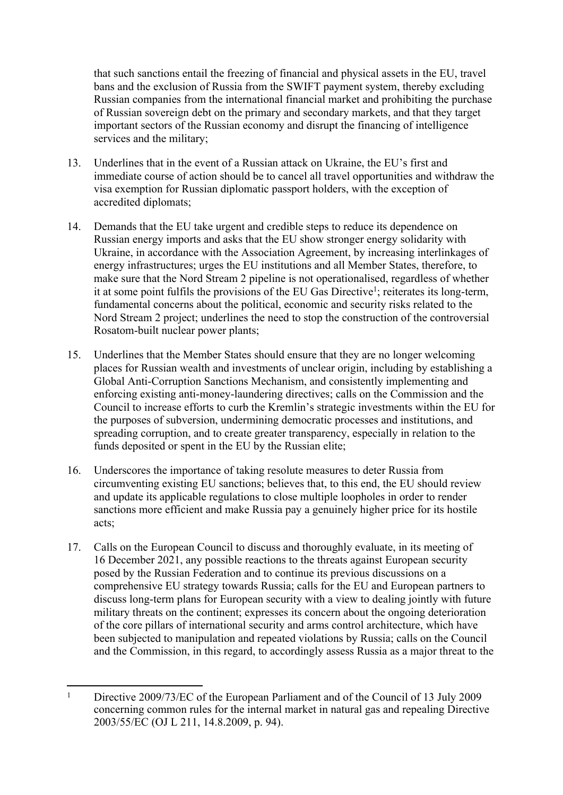that such sanctions entail the freezing of financial and physical assets in the EU, travel bans and the exclusion of Russia from the SWIFT payment system, thereby excluding Russian companies from the international financial market and prohibiting the purchase of Russian sovereign debt on the primary and secondary markets, and that they target important sectors of the Russian economy and disrupt the financing of intelligence services and the military;

- 13. Underlines that in the event of a Russian attack on Ukraine, the EU's first and immediate course of action should be to cancel all travel opportunities and withdraw the visa exemption for Russian diplomatic passport holders, with the exception of accredited diplomats;
- 14. Demands that the EU take urgent and credible steps to reduce its dependence on Russian energy imports and asks that the EU show stronger energy solidarity with Ukraine, in accordance with the Association Agreement, by increasing interlinkages of energy infrastructures; urges the EU institutions and all Member States, therefore, to make sure that the Nord Stream 2 pipeline is not operationalised, regardless of whether it at some point fulfils the provisions of the EU Gas Directive<sup>1</sup>; reiterates its long-term, fundamental concerns about the political, economic and security risks related to the Nord Stream 2 project; underlines the need to stop the construction of the controversial Rosatom-built nuclear power plants;
- 15. Underlines that the Member States should ensure that they are no longer welcoming places for Russian wealth and investments of unclear origin, including by establishing a Global Anti-Corruption Sanctions Mechanism, and consistently implementing and enforcing existing anti-money-laundering directives; calls on the Commission and the Council to increase efforts to curb the Kremlin's strategic investments within the EU for the purposes of subversion, undermining democratic processes and institutions, and spreading corruption, and to create greater transparency, especially in relation to the funds deposited or spent in the EU by the Russian elite;
- 16. Underscores the importance of taking resolute measures to deter Russia from circumventing existing EU sanctions; believes that, to this end, the EU should review and update its applicable regulations to close multiple loopholes in order to render sanctions more efficient and make Russia pay a genuinely higher price for its hostile acts;
- 17. Calls on the European Council to discuss and thoroughly evaluate, in its meeting of 16 December 2021, any possible reactions to the threats against European security posed by the Russian Federation and to continue its previous discussions on a comprehensive EU strategy towards Russia; calls for the EU and European partners to discuss long-term plans for European security with a view to dealing jointly with future military threats on the continent; expresses its concern about the ongoing deterioration of the core pillars of international security and arms control architecture, which have been subjected to manipulation and repeated violations by Russia; calls on the Council and the Commission, in this regard, to accordingly assess Russia as a major threat to the

<sup>1</sup> Directive 2009/73/EC of the European Parliament and of the Council of 13 July 2009 concerning common rules for the internal market in natural gas and repealing Directive 2003/55/EC (OJ L 211, 14.8.2009, p. 94).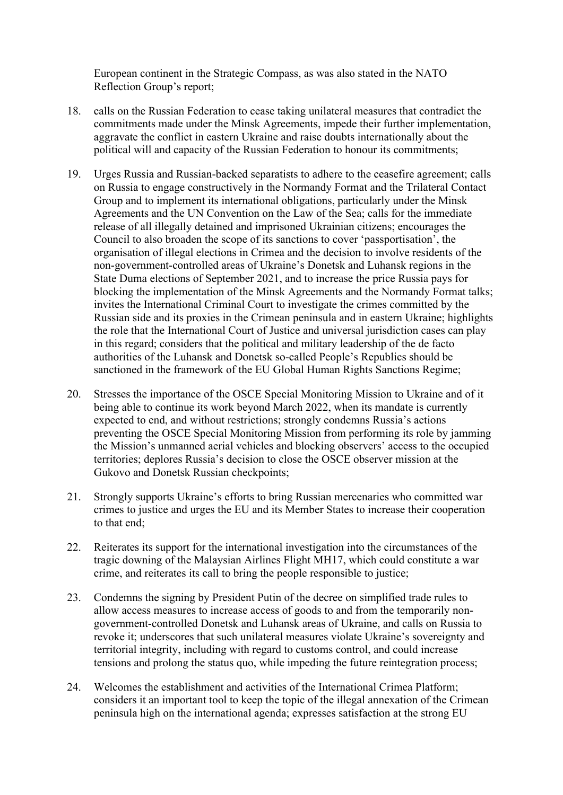European continent in the Strategic Compass, as was also stated in the NATO Reflection Group's report;

- 18. calls on the Russian Federation to cease taking unilateral measures that contradict the commitments made under the Minsk Agreements, impede their further implementation, aggravate the conflict in eastern Ukraine and raise doubts internationally about the political will and capacity of the Russian Federation to honour its commitments;
- 19. Urges Russia and Russian-backed separatists to adhere to the ceasefire agreement; calls on Russia to engage constructively in the Normandy Format and the Trilateral Contact Group and to implement its international obligations, particularly under the Minsk Agreements and the UN Convention on the Law of the Sea; calls for the immediate release of all illegally detained and imprisoned Ukrainian citizens; encourages the Council to also broaden the scope of its sanctions to cover 'passportisation', the organisation of illegal elections in Crimea and the decision to involve residents of the non-government-controlled areas of Ukraine's Donetsk and Luhansk regions in the State Duma elections of September 2021, and to increase the price Russia pays for blocking the implementation of the Minsk Agreements and the Normandy Format talks; invites the International Criminal Court to investigate the crimes committed by the Russian side and its proxies in the Crimean peninsula and in eastern Ukraine; highlights the role that the International Court of Justice and universal jurisdiction cases can play in this regard; considers that the political and military leadership of the de facto authorities of the Luhansk and Donetsk so-called People's Republics should be sanctioned in the framework of the EU Global Human Rights Sanctions Regime;
- 20. Stresses the importance of the OSCE Special Monitoring Mission to Ukraine and of it being able to continue its work beyond March 2022, when its mandate is currently expected to end, and without restrictions; strongly condemns Russia's actions preventing the OSCE Special Monitoring Mission from performing its role by jamming the Mission's unmanned aerial vehicles and blocking observers' access to the occupied territories; deplores Russia's decision to close the OSCE observer mission at the Gukovo and Donetsk Russian checkpoints;
- 21. Strongly supports Ukraine's efforts to bring Russian mercenaries who committed war crimes to justice and urges the EU and its Member States to increase their cooperation to that end;
- 22. Reiterates its support for the international investigation into the circumstances of the tragic downing of the Malaysian Airlines Flight MH17, which could constitute a war crime, and reiterates its call to bring the people responsible to justice;
- 23. Condemns the signing by President Putin of the decree on simplified trade rules to allow access measures to increase access of goods to and from the temporarily nongovernment-controlled Donetsk and Luhansk areas of Ukraine, and calls on Russia to revoke it; underscores that such unilateral measures violate Ukraine's sovereignty and territorial integrity, including with regard to customs control, and could increase tensions and prolong the status quo, while impeding the future reintegration process;
- 24. Welcomes the establishment and activities of the International Crimea Platform; considers it an important tool to keep the topic of the illegal annexation of the Crimean peninsula high on the international agenda; expresses satisfaction at the strong EU